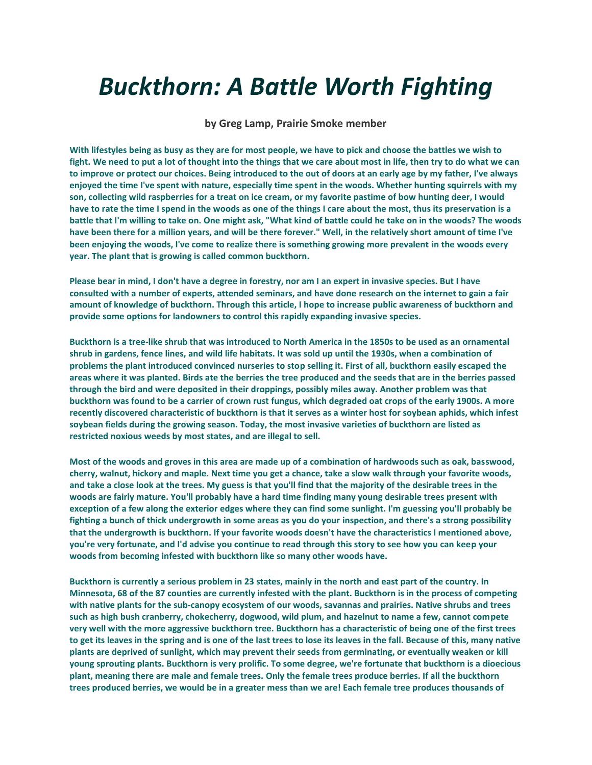## *Buckthorn: A Battle Worth Fighting*

**by Greg Lamp, Prairie Smoke member**

**With lifestyles being as busy as they are for most people, we have to pick and choose the battles we wish to fight. We need to put a lot of thought into the things that we care about most in life, then try to do what we can to improve or protect our choices. Being introduced to the out of doors at an early age by my father, I've always enjoyed the time I've spent with nature, especially time spent in the woods. Whether hunting squirrels with my son, collecting wild raspberries for a treat on ice cream, or my favorite pastime of bow hunting deer, I would have to rate the time I spend in the woods as one of the things I care about the most, thus its preservation is a battle that I'm willing to take on. One might ask, "What kind of battle could he take on in the woods? The woods have been there for a million years, and will be there forever." Well, in the relatively short amount of time I've been enjoying the woods, I've come to realize there is something growing more prevalent in the woods every year. The plant that is growing is called common buckthorn.** 

**Please bear in mind, I don't have a degree in forestry, nor am I an expert in invasive species. But I have consulted with a number of experts, attended seminars, and have done research on the internet to gain a fair amount of knowledge of buckthorn. Through this article, I hope to increase public awareness of buckthorn and provide some options for landowners to control this rapidly expanding invasive species.**

**Buckthorn is a tree-like shrub that was introduced to North America in the 1850s to be used as an ornamental shrub in gardens, fence lines, and wild life habitats. It was sold up until the 1930s, when a combination of problems the plant introduced convinced nurseries to stop selling it. First of all, buckthorn easily escaped the areas where it was planted. Birds ate the berries the tree produced and the seeds that are in the berries passed through the bird and were deposited in their droppings, possibly miles away. Another problem was that buckthorn was found to be a carrier of crown rust fungus, which degraded oat crops of the early 1900s. A more recently discovered characteristic of buckthorn is that it serves as a winter host for soybean aphids, which infest soybean fields during the growing season. Today, the most invasive varieties of buckthorn are listed as restricted noxious weeds by most states, and are illegal to sell.**

**Most of the woods and groves in this area are made up of a combination of hardwoods such as oak, basswood, cherry, walnut, hickory and maple. Next time you get a chance, take a slow walk through your favorite woods, and take a close look at the trees. My guess is that you'll find that the majority of the desirable trees in the woods are fairly mature. You'll probably have a hard time finding many young desirable trees present with exception of a few along the exterior edges where they can find some sunlight. I'm guessing you'll probably be fighting a bunch of thick undergrowth in some areas as you do your inspection, and there's a strong possibility that the undergrowth is buckthorn. If your favorite woods doesn't have the characteristics I mentioned above, you're very fortunate, and I'd advise you continue to read through this story to see how you can keep your woods from becoming infested with buckthorn like so many other woods have.**

**Buckthorn is currently a serious problem in 23 states, mainly in the north and east part of the country. In Minnesota, 68 of the 87 counties are currently infested with the plant. Buckthorn is in the process of competing with native plants for the sub-canopy ecosystem of our woods, savannas and prairies. Native shrubs and trees such as high bush cranberry, chokecherry, dogwood, wild plum, and hazelnut to name a few, cannot compete very well with the more aggressive buckthorn tree. Buckthorn has a characteristic of being one of the first trees to get its leaves in the spring and is one of the last trees to lose its leaves in the fall. Because of this, many native plants are deprived of sunlight, which may prevent their seeds from germinating, or eventually weaken or kill young sprouting plants. Buckthorn is very prolific. To some degree, we're fortunate that buckthorn is a dioecious plant, meaning there are male and female trees. Only the female trees produce berries. If all the buckthorn trees produced berries, we would be in a greater mess than we are! Each female tree produces thousands of**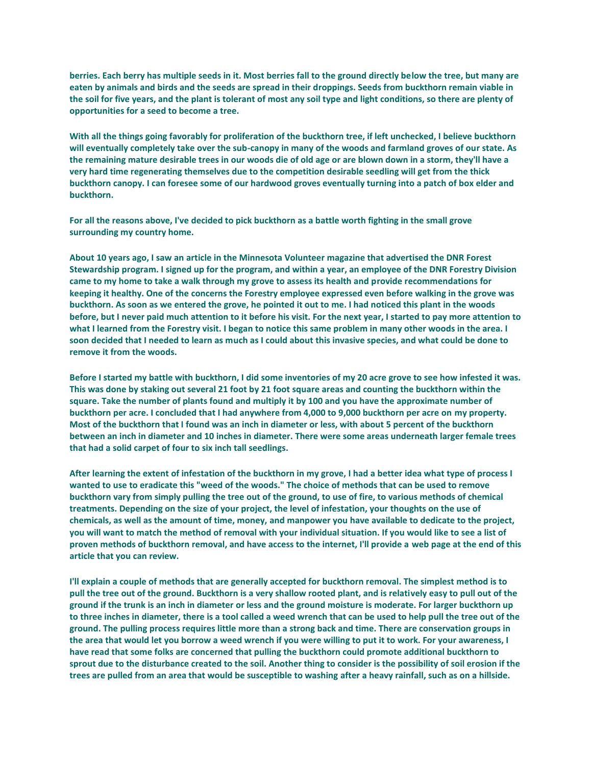**berries. Each berry has multiple seeds in it. Most berries fall to the ground directly below the tree, but many are eaten by animals and birds and the seeds are spread in their droppings. Seeds from buckthorn remain viable in the soil for five years, and the plant is tolerant of most any soil type and light conditions, so there are plenty of opportunities for a seed to become a tree.**

**With all the things going favorably for proliferation of the buckthorn tree, if left unchecked, I believe buckthorn will eventually completely take over the sub-canopy in many of the woods and farmland groves of our state. As the remaining mature desirable trees in our woods die of old age or are blown down in a storm, they'll have a very hard time regenerating themselves due to the competition desirable seedling will get from the thick buckthorn canopy. I can foresee some of our hardwood groves eventually turning into a patch of box elder and buckthorn.**

**For all the reasons above, I've decided to pick buckthorn as a battle worth fighting in the small grove surrounding my country home.**

**About 10 years ago, I saw an article in the Minnesota Volunteer magazine that advertised the DNR Forest Stewardship program. I signed up for the program, and within a year, an employee of the DNR Forestry Division came to my home to take a walk through my grove to assess its health and provide recommendations for keeping it healthy. One of the concerns the Forestry employee expressed even before walking in the grove was buckthorn. As soon as we entered the grove, he pointed it out to me. I had noticed this plant in the woods before, but I never paid much attention to it before his visit. For the next year, I started to pay more attention to what I learned from the Forestry visit. I began to notice this same problem in many other woods in the area. I soon decided that I needed to learn as much as I could about this invasive species, and what could be done to remove it from the woods.**

**Before I started my battle with buckthorn, I did some inventories of my 20 acre grove to see how infested it was. This was done by staking out several 21 foot by 21 foot square areas and counting the buckthorn within the square. Take the number of plants found and multiply it by 100 and you have the approximate number of buckthorn per acre. I concluded that I had anywhere from 4,000 to 9,000 buckthorn per acre on my property. Most of the buckthorn that I found was an inch in diameter or less, with about 5 percent of the buckthorn between an inch in diameter and 10 inches in diameter. There were some areas underneath larger female trees that had a solid carpet of four to six inch tall seedlings.**

**After learning the extent of infestation of the buckthorn in my grove, I had a better idea what type of process I wanted to use to eradicate this "weed of the woods." The choice of methods that can be used to remove buckthorn vary from simply pulling the tree out of the ground, to use of fire, to various methods of chemical treatments. Depending on the size of your project, the level of infestation, your thoughts on the use of chemicals, as well as the amount of time, money, and manpower you have available to dedicate to the project, you will want to match the method of removal with your individual situation. If you would like to see a list of proven methods of buckthorn removal, and have access to the internet, I'll provide a web page at the end of this article that you can review.**

**I'll explain a couple of methods that are generally accepted for buckthorn removal. The simplest method is to pull the tree out of the ground. Buckthorn is a very shallow rooted plant, and is relatively easy to pull out of the ground if the trunk is an inch in diameter or less and the ground moisture is moderate. For larger buckthorn up to three inches in diameter, there is a tool called a weed wrench that can be used to help pull the tree out of the ground. The pulling process requires little more than a strong back and time. There are conservation groups in the area that would let you borrow a weed wrench if you were willing to put it to work. For your awareness, I have read that some folks are concerned that pulling the buckthorn could promote additional buckthorn to sprout due to the disturbance created to the soil. Another thing to consider is the possibility of soil erosion if the trees are pulled from an area that would be susceptible to washing after a heavy rainfall, such as on a hillside.**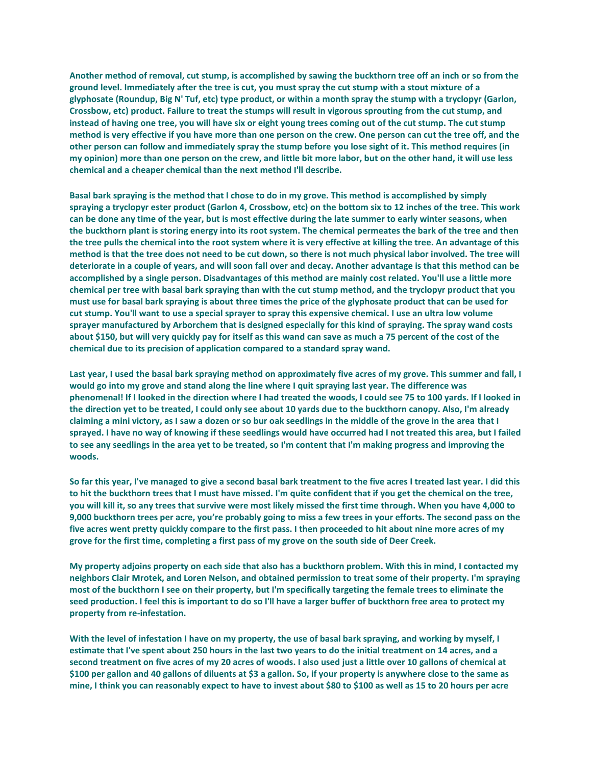**Another method of removal, cut stump, is accomplished by sawing the buckthorn tree off an inch or so from the ground level. Immediately after the tree is cut, you must spray the cut stump with a stout mixture of a glyphosate (Roundup, Big N' Tuf, etc) type product, or within a month spray the stump with a tryclopyr (Garlon, Crossbow, etc) product. Failure to treat the stumps will result in vigorous sprouting from the cut stump, and**  instead of having one tree, you will have six or eight young trees coming out of the cut stump. The cut stump **method is very effective if you have more than one person on the crew. One person can cut the tree off, and the other person can follow and immediately spray the stump before you lose sight of it. This method requires (in my opinion) more than one person on the crew, and little bit more labor, but on the other hand, it will use less chemical and a cheaper chemical than the next method I'll describe.**

**Basal bark spraying is the method that I chose to do in my grove. This method is accomplished by simply spraying a tryclopyr ester product (Garlon 4, Crossbow, etc) on the bottom six to 12 inches of the tree. This work can be done any time of the year, but is most effective during the late summer to early winter seasons, when the buckthorn plant is storing energy into its root system. The chemical permeates the bark of the tree and then the tree pulls the chemical into the root system where it is very effective at killing the tree. An advantage of this method is that the tree does not need to be cut down, so there is not much physical labor involved. The tree will deteriorate in a couple of years, and will soon fall over and decay. Another advantage is that this method can be accomplished by a single person. Disadvantages of this method are mainly cost related. You'll use a little more chemical per tree with basal bark spraying than with the cut stump method, and the tryclopyr product that you must use for basal bark spraying is about three times the price of the glyphosate product that can be used for cut stump. You'll want to use a special sprayer to spray this expensive chemical. I use an ultra low volume sprayer manufactured by Arborchem that is designed especially for this kind of spraying. The spray wand costs about \$150, but will very quickly pay for itself as this wand can save as much a 75 percent of the cost of the chemical due to its precision of application compared to a standard spray wand.**

Last year, I used the basal bark spraying method on approximately five acres of my grove. This summer and fall, I **would go into my grove and stand along the line where I quit spraying last year. The difference was phenomenal! If I looked in the direction where I had treated the woods, I could see 75 to 100 yards. If I looked in the direction yet to be treated, I could only see about 10 yards due to the buckthorn canopy. Also, I'm already claiming a mini victory, as I saw a dozen or so bur oak seedlings in the middle of the grove in the area that I sprayed. I have no way of knowing if these seedlings would have occurred had I not treated this area, but I failed to see any seedlings in the area yet to be treated, so I'm content that I'm making progress and improving the woods.**

**So far this year, I've managed to give a second basal bark treatment to the five acres I treated last year. I did this to hit the buckthorn trees that I must have missed. I'm quite confident that if you get the chemical on the tree, you will kill it, so any trees that survive were most likely missed the first time through. When you have 4,000 to 9,000 buckthorn trees per acre, you're probably going to miss a few trees in your efforts. The second pass on the five acres went pretty quickly compare to the first pass. I then proceeded to hit about nine more acres of my grove for the first time, completing a first pass of my grove on the south side of Deer Creek.**

**My property adjoins property on each side that also has a buckthorn problem. With this in mind, I contacted my neighbors Clair Mrotek, and Loren Nelson, and obtained permission to treat some of their property. I'm spraying most of the buckthorn I see on their property, but I'm specifically targeting the female trees to eliminate the seed production. I feel this is important to do so I'll have a larger buffer of buckthorn free area to protect my property from re-infestation.**

**With the level of infestation I have on my property, the use of basal bark spraying, and working by myself, I estimate that I've spent about 250 hours in the last two years to do the initial treatment on 14 acres, and a second treatment on five acres of my 20 acres of woods. I also used just a little over 10 gallons of chemical at \$100 per gallon and 40 gallons of diluents at \$3 a gallon. So, if your property is anywhere close to the same as mine, I think you can reasonably expect to have to invest about \$80 to \$100 as well as 15 to 20 hours per acre**